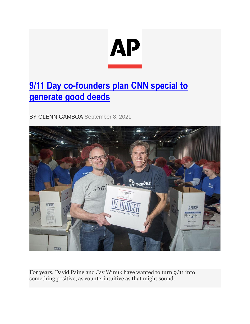

## **[9/11 Day co-founders plan CNN special to](https://apnews.com/article/business-philanthropy-terrorist-attacks-982cf0838f22fca2dc52e4c544c90a57)  [generate good deeds](https://apnews.com/article/business-philanthropy-terrorist-attacks-982cf0838f22fca2dc52e4c544c90a57)**

BY GLENN GAMBOA September 8, 2021



For years, David Paine and Jay Winuk have wanted to turn 9/11 into something positive, as counterintuitive as that might sound.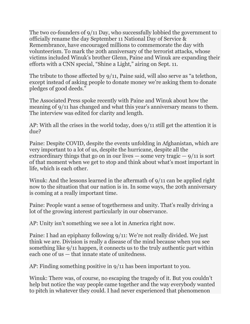The two co-founders of 9/11 Day, who successfully lobbied the government to officially rename the day September 11 National Day of Service & Remembrance, have encouraged millions to commemorate the day with volunteerism. To mark the 20th anniversary of the terrorist attacks, whose victims included Winuk's brother Glenn, Paine and Winuk are expanding their efforts with a CNN special, "Shine a Light," airing on Sept. 11.

The tribute to those affected by 9/11, Paine said, will also serve as "a telethon, except instead of asking people to donate money we're asking them to donate pledges of good deeds."

The Associated Press spoke recently with Paine and Winuk about how the meaning of 9/11 has changed and what this year's anniversary means to them. The interview was edited for clarity and length.

AP: With all the crises in the world today, does 9/11 still get the attention it is due?

Paine: Despite COVID, despite the events unfolding in Afghanistan, which are very important to a lot of us, despite the hurricane, despite all the extraordinary things that go on in our lives  $-$  some very tragic  $-9/11$  is sort of that moment when we get to stop and think about what's most important in life, which is each other.

Winuk: And the lessons learned in the aftermath of 9/11 can be applied right now to the situation that our nation is in. In some ways, the 20th anniversary is coming at a really important time.

Paine: People want a sense of togetherness and unity. That's really driving a lot of the growing interest particularly in our observance.

AP: Unity isn't something we see a lot in America right now.

Paine: I had an epiphany following 9/11: We're not really divided. We just think we are. Division is really a disease of the mind because when you see something like 9/11 happen, it connects us to the truly authentic part within each one of us — that innate state of unitedness.

AP: Finding something positive in 9/11 has been important to you.

Winuk: There was, of course, no escaping the tragedy of it. But you couldn't help but notice the way people came together and the way everybody wanted to pitch in whatever they could. I had never experienced that phenomenon